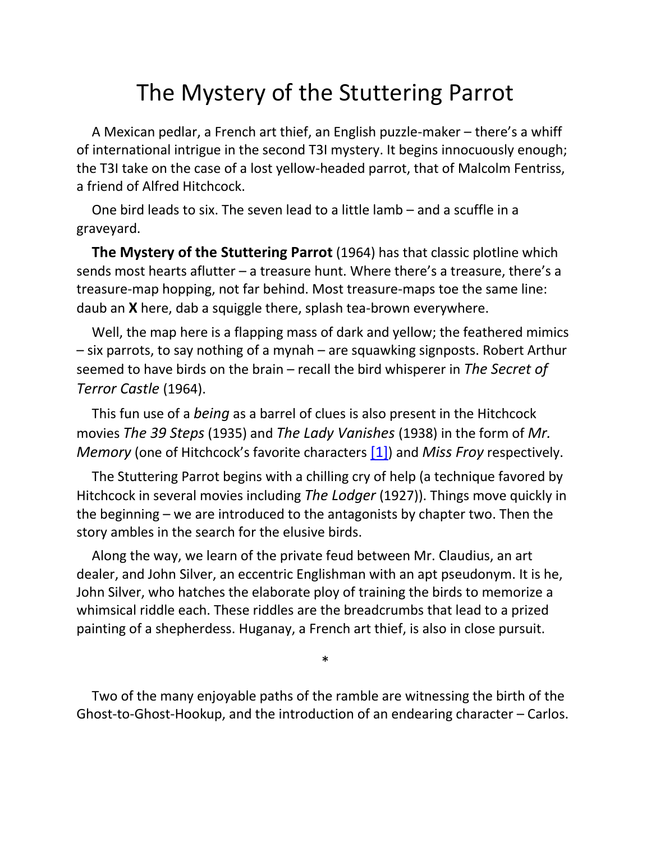## The Mystery of the Stuttering Parrot

A Mexican pedlar, a French art thief, an English puzzle-maker – there's a whiff of international intrigue in the second T3I mystery. It begins innocuously enough; the T3I take on the case of a lost yellow-headed parrot, that of Malcolm Fentriss, a friend of Alfred Hitchcock.

One bird leads to six. The seven lead to a little lamb – and a scuffle in a graveyard.

**The Mystery of the Stuttering Parrot** (1964) has that classic plotline which sends most hearts aflutter – a treasure hunt. Where there's a treasure, there's a treasure-map hopping, not far behind. Most treasure-maps toe the same line: daub an **X** here, dab a squiggle there, splash tea-brown everywhere.

Well, the map here is a flapping mass of dark and yellow; the feathered mimics – six parrots, to say nothing of a mynah – are squawking signposts. Robert Arthur seemed to have birds on the brain – recall the bird whisperer in *The Secret of Terror Castle* (1964).

This fun use of a *being* as a barrel of clues is also present in the Hitchcock movies *The 39 Steps* (1935) and *The Lady Vanishes* (1938) in the form of *Mr. Memory* (one of Hitchcock's favorite characters [\[1\]](#page-3-0)) and *Miss Froy* respectively.

The Stuttering Parrot begins with a chilling cry of help (a technique favored by Hitchcock in several movies including *The Lodger* (1927)). Things move quickly in the beginning – we are introduced to the antagonists by chapter two. Then the story ambles in the search for the elusive birds.

Along the way, we learn of the private feud between Mr. Claudius, an art dealer, and John Silver, an eccentric Englishman with an apt pseudonym. It is he, John Silver, who hatches the elaborate ploy of training the birds to memorize a whimsical riddle each. These riddles are the breadcrumbs that lead to a prized painting of a shepherdess. Huganay, a French art thief, is also in close pursuit.

Two of the many enjoyable paths of the ramble are witnessing the birth of the Ghost-to-Ghost-Hookup, and the introduction of an endearing character – Carlos.

<span id="page-0-0"></span>\*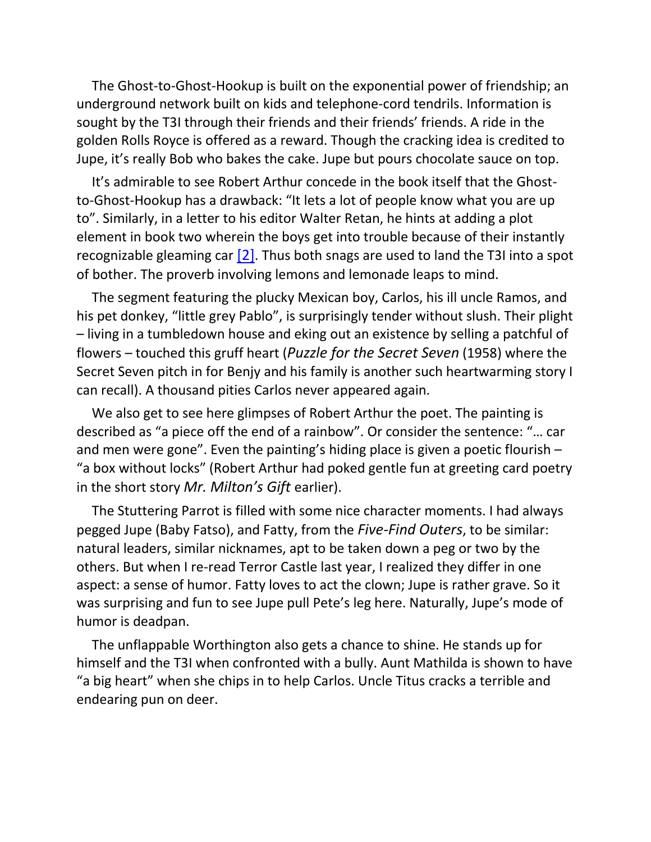The Ghost-to-Ghost-Hookup is built on the exponential power of friendship; an underground network built on kids and telephone-cord tendrils. Information is sought by the T3I through their friends and their friends' friends. A ride in the golden Rolls Royce is offered as a reward. Though the cracking idea is credited to Jupe, it's really Bob who bakes the cake. Jupe but pours chocolate sauce on top.

It's admirable to see Robert Arthur concede in the book itself that the Ghostto-Ghost-Hookup has a drawback: "It lets a lot of people know what you are up to". Similarly, in a letter to his editor Walter Retan, he hints at adding a plot element in book two wherein the boys get into trouble because of their instantly recognizable gleaming car  $[2]$ . Thus both snags are used to land the T3I into a spot of bother. The proverb involving lemons and lemonade leaps to mind.

<span id="page-1-0"></span>The segment featuring the plucky Mexican boy, Carlos, his ill uncle Ramos, and his pet donkey, "little grey Pablo", is surprisingly tender without slush. Their plight – living in a tumbledown house and eking out an existence by selling a patchful of flowers – touched this gruff heart (*Puzzle for the Secret Seven* (1958) where the Secret Seven pitch in for Benjy and his family is another such heartwarming story I can recall). A thousand pities Carlos never appeared again.

We also get to see here glimpses of Robert Arthur the poet. The painting is described as "a piece off the end of a rainbow". Or consider the sentence: "… car and men were gone". Even the painting's hiding place is given a poetic flourish – "a box without locks" (Robert Arthur had poked gentle fun at greeting card poetry in the short story *Mr. Milton's Gift* earlier).

The Stuttering Parrot is filled with some nice character moments. I had always pegged Jupe (Baby Fatso), and Fatty, from the *Five-Find Outers*, to be similar: natural leaders, similar nicknames, apt to be taken down a peg or two by the others. But when I re-read Terror Castle last year, I realized they differ in one aspect: a sense of humor. Fatty loves to act the clown; Jupe is rather grave. So it was surprising and fun to see Jupe pull Pete's leg here. Naturally, Jupe's mode of humor is deadpan.

The unflappable Worthington also gets a chance to shine. He stands up for himself and the T3I when confronted with a bully. Aunt Mathilda is shown to have "a big heart" when she chips in to help Carlos. Uncle Titus cracks a terrible and endearing pun on deer.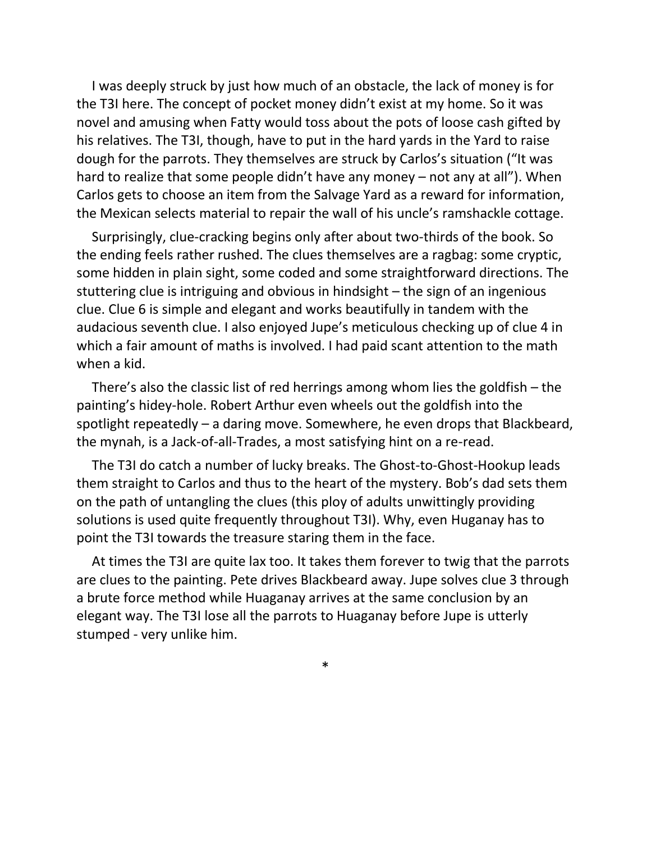I was deeply struck by just how much of an obstacle, the lack of money is for the T3I here. The concept of pocket money didn't exist at my home. So it was novel and amusing when Fatty would toss about the pots of loose cash gifted by his relatives. The T3I, though, have to put in the hard yards in the Yard to raise dough for the parrots. They themselves are struck by Carlos's situation ("It was hard to realize that some people didn't have any money – not any at all"). When Carlos gets to choose an item from the Salvage Yard as a reward for information, the Mexican selects material to repair the wall of his uncle's ramshackle cottage.

Surprisingly, clue-cracking begins only after about two-thirds of the book. So the ending feels rather rushed. The clues themselves are a ragbag: some cryptic, some hidden in plain sight, some coded and some straightforward directions. The stuttering clue is intriguing and obvious in hindsight – the sign of an ingenious clue. Clue 6 is simple and elegant and works beautifully in tandem with the audacious seventh clue. I also enjoyed Jupe's meticulous checking up of clue 4 in which a fair amount of maths is involved. I had paid scant attention to the math when a kid.

There's also the classic list of red herrings among whom lies the goldfish – the painting's hidey-hole. Robert Arthur even wheels out the goldfish into the spotlight repeatedly – a daring move. Somewhere, he even drops that Blackbeard, the mynah, is a Jack-of-all-Trades, a most satisfying hint on a re-read.

The T3I do catch a number of lucky breaks. The Ghost-to-Ghost-Hookup leads them straight to Carlos and thus to the heart of the mystery. Bob's dad sets them on the path of untangling the clues (this ploy of adults unwittingly providing solutions is used quite frequently throughout T3I). Why, even Huganay has to point the T3I towards the treasure staring them in the face.

At times the T3I are quite lax too. It takes them forever to twig that the parrots are clues to the painting. Pete drives Blackbeard away. Jupe solves clue 3 through a brute force method while Huaganay arrives at the same conclusion by an elegant way. The T3I lose all the parrots to Huaganay before Jupe is utterly stumped - very unlike him.

\*